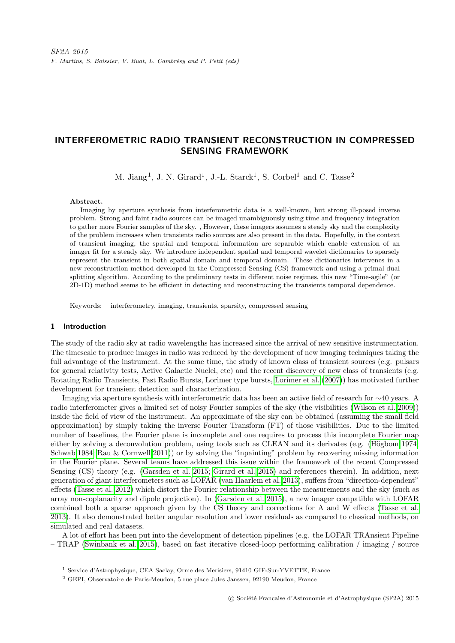# INTERFEROMETRIC RADIO TRANSIENT RECONSTRUCTION IN COMPRESSED SENSING FRAMEWORK

M. Jiang<sup>1</sup>, J. N. Girard<sup>1</sup>, J.-L. Starck<sup>1</sup>, S. Corbel<sup>1</sup> and C. Tasse<sup>2</sup>

#### Abstract.

Imaging by aperture synthesis from interferometric data is a well-known, but strong ill-posed inverse problem. Strong and faint radio sources can be imaged unambiguously using time and frequency integration to gather more Fourier samples of the sky. , However, these imagers assumes a steady sky and the complexity of the problem increases when transients radio sources are also present in the data. Hopefully, in the context of transient imaging, the spatial and temporal information are separable which enable extension of an imager fit for a steady sky. We introduce independent spatial and temporal wavelet dictionaries to sparsely represent the transient in both spatial domain and temporal domain. These dictionaries intervenes in a new reconstruction method developed in the Compressed Sensing (CS) framework and using a primal-dual splitting algorithm. According to the preliminary tests in different noise regimes, this new "Time-agile" (or 2D-1D) method seems to be efficient in detecting and reconstructing the transients temporal dependence.

Keywords: interferometry, imaging, transients, sparsity, compressed sensing

#### 1 Introduction

The study of the radio sky at radio wavelengths has increased since the arrival of new sensitive instrumentation. The timescale to produce images in radio was reduced by the development of new imaging techniques taking the full advantage of the instrument. At the same time, the study of known class of transient sources (e.g. pulsars for general relativity tests, Active Galactic Nuclei, etc) and the recent discovery of new class of transients (e.g. Rotating Radio Transients, Fast Radio Bursts, Lorimer type bursts, [Lorimer et al.](#page-5-0) [\(2007\)](#page-5-0)) has motivated further development for transient detection and characterization.

Imaging via aperture synthesis with interferometric data has been an active field of research for ∼40 years. A radio interferometer gives a limited set of noisy Fourier samples of the sky (the visibilities [\(Wilson et al. 2009\)](#page-5-1)) inside the field of view of the instrument. An approximate of the sky can be obtained (assuming the small field approximation) by simply taking the inverse Fourier Transform (FT) of those visibilities. Due to the limited number of baselines, the Fourier plane is incomplete and one requires to process this incomplete Fourier map either by solving a deconvolution problem, using tools such as CLEAN and its derivates (e.g. (Högbom 1974; [Schwab 1984;](#page-5-2) [Rau & Cornwell 2011\)](#page-5-3)) or by solving the "inpainting" problem by recovering missing information in the Fourier plane. Several teams have addressed this issue within the framework of the recent Compressed Sensing (CS) theory (e.g. [\(Garsden et al. 2015;](#page-4-1) [Girard et al. 2015\)](#page-4-2) and references therein). In addition, next generation of giant interferometers such as LOFAR [\(van Haarlem et al. 2013\)](#page-5-4), suffers from "direction-dependent" effects [\(Tasse et al. 2012\)](#page-5-5) which distort the Fourier relationship between the measurements and the sky (such as array non-coplanarity and dipole projection). In [\(Garsden et al. 2015\)](#page-4-1), a new imager compatible with LOFAR combined both a sparse approach given by the CS theory and corrections for A and W effects [\(Tasse et al.](#page-5-6) [2013\)](#page-5-6). It also demonstrated better angular resolution and lower residuals as compared to classical methods, on simulated and real datasets.

A lot of effort has been put into the development of detection pipelines (e.g. the LOFAR TRAnsient Pipeline – TRAP [\(Swinbank et al. 2015\)](#page-5-7), based on fast iterative closed-loop performing calibration / imaging / source

<sup>1</sup> Service d'Astrophysique, CEA Saclay, Orme des Merisiers, 91410 GIF-Sur-YVETTE, France

<sup>2</sup> GEPI, Observatoire de Paris-Meudon, 5 rue place Jules Janssen, 92190 Meudon, France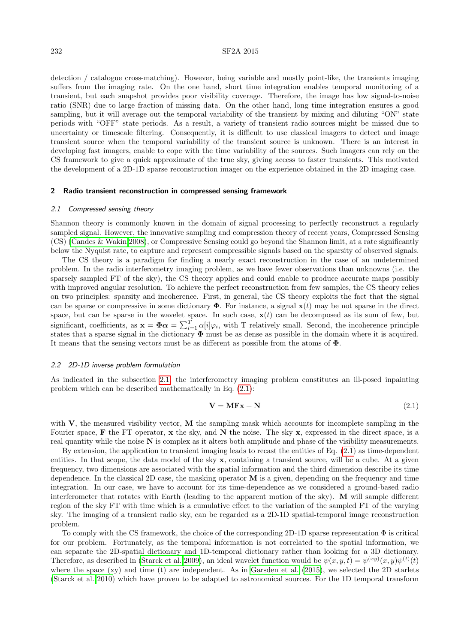#### 232 SF2A 2015

detection / catalogue cross-matching). However, being variable and mostly point-like, the transients imaging suffers from the imaging rate. On the one hand, short time integration enables temporal monitoring of a transient, but each snapshot provides poor visibility coverage. Therefore, the image has low signal-to-noise ratio (SNR) due to large fraction of missing data. On the other hand, long time integration ensures a good sampling, but it will average out the temporal variability of the transient by mixing and diluting "ON" state periods with "OFF" state periods. As a result, a variety of transient radio sources might be missed due to uncertainty or timescale filtering. Consequently, it is difficult to use classical imagers to detect and image transient source when the temporal variability of the transient source is unknown. There is an interest in developing fast imagers, enable to cope with the time variability of the sources. Such imagers can rely on the CS framework to give a quick approximate of the true sky, giving access to faster transients. This motivated the development of a 2D-1D sparse reconstruction imager on the experience obtained in the 2D imaging case.

#### 2 Radio transient reconstruction in compressed sensing framework

#### <span id="page-1-0"></span>2.1 Compressed sensing theory

Shannon theory is commonly known in the domain of signal processing to perfectly reconstruct a regularly sampled signal. However, the innovative sampling and compression theory of recent years, Compressed Sensing (CS) [\(Candes & Wakin 2008\)](#page-4-3), or Compressive Sensing could go beyond the Shannon limit, at a rate significantly below the Nyquist rate, to capture and represent compressible signals based on the sparsity of observed signals.

The CS theory is a paradigm for finding a nearly exact reconstruction in the case of an undetermined problem. In the radio interferometry imaging problem, as we have fewer observations than unknowns (i.e. the sparsely sampled FT of the sky), the CS theory applies and could enable to produce accurate maps possibly with improved angular resolution. To achieve the perfect reconstruction from few samples, the CS theory relies on two principles: sparsity and incoherence. First, in general, the CS theory exploits the fact that the signal can be sparse or compressive in some dictionary  $\Phi$ . For instance, a signal  $\mathbf{x}(t)$  may be not sparse in the direct space, but can be sparse in the wavelet space. In such case,  $\mathbf{x}(t)$  can be decomposed as its sum of few, but significant, coefficients, as  $\mathbf{x} = \mathbf{\Phi} \boldsymbol{\alpha} = \sum_{i=1}^{T} \alpha[i] \varphi_i$ , with T relatively small. Second, the incoherence principle states that a sparse signal in the dictionary  $\Phi$  must be as dense as possible in the domain where it is acquired. It means that the sensing vectors must be as different as possible from the atoms of Φ.

#### 2.2 2D-1D inverse problem formulation

As indicated in the subsection [2.1,](#page-1-0) the interferometry imaging problem constitutes an ill-posed inpainting problem which can be described mathematically in Eq. [\(2.1\)](#page-1-1):

<span id="page-1-1"></span>
$$
V = MFx + N \tag{2.1}
$$

with  $V$ , the measured visibility vector, M the sampling mask which accounts for incomplete sampling in the Fourier space, F the FT operator, x the sky, and N the noise. The sky  $x$ , expressed in the direct space, is a real quantity while the noise N is complex as it alters both amplitude and phase of the visibility measurements.

By extension, the application to transient imaging leads to recast the entities of Eq. [\(2.1\)](#page-1-1) as time-dependent entities. In that scope, the data model of the sky x, containing a transient source, will be a cube. At a given frequency, two dimensions are associated with the spatial information and the third dimension describe its time dependence. In the classical 2D case, the masking operator M is a given, depending on the frequency and time integration. In our case, we have to account for its time-dependence as we considered a ground-based radio interferometer that rotates with Earth (leading to the apparent motion of the sky). M will sample different region of the sky FT with time which is a cumulative effect to the variation of the sampled FT of the varying sky. The imaging of a transient radio sky, can be regarded as a 2D-1D spatial-temporal image reconstruction problem.

To comply with the CS framework, the choice of the corresponding 2D-1D sparse representation  $\Phi$  is critical for our problem. Fortunately, as the temporal information is not correlated to the spatial information, we can separate the 2D-spatial dictionary and 1D-temporal dictionary rather than looking for a 3D dictionary. Therefore, as described in [\(Starck et al. 2009\)](#page-5-8), an ideal wavelet function would be  $\psi(x, y, t) = \psi^{(xy)}(x, y)\psi^{(t)}(t)$ where the space (xy) and time (t) are independent. As in [Garsden et al.](#page-4-1) [\(2015\)](#page-4-1), we selected the 2D starlets [\(Starck et al. 2010\)](#page-5-9) which have proven to be adapted to astronomical sources. For the 1D temporal transform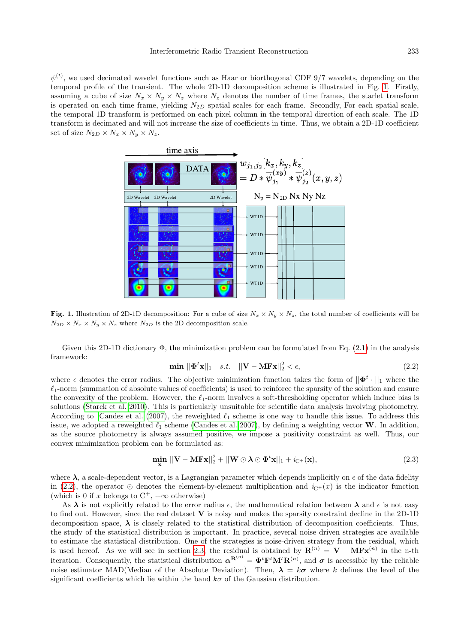$\psi^{(t)}$ , we used decimated wavelet functions such as Haar or biorthogonal CDF 9/7 wavelets, depending on the temporal profile of the transient. The whole 2D-1D decomposition scheme is illustrated in Fig. [1.](#page-2-0) Firstly, assuming a cube of size  $N_x \times N_y \times N_z$  where  $N_z$  denotes the number of time frames, the starlet transform is operated on each time frame, yielding  $N_{2D}$  spatial scales for each frame. Secondly, For each spatial scale, the temporal 1D transform is performed on each pixel column in the temporal direction of each scale. The 1D transform is decimated and will not increase the size of coefficients in time. Thus, we obtain a 2D-1D coefficient set of size  $N_{2D} \times N_x \times N_y \times N_z$ .



<span id="page-2-0"></span>Fig. 1. Illustration of 2D-1D decomposition: For a cube of size  $N_x \times N_y \times N_z$ , the total number of coefficients will be  $N_{2D} \times N_x \times N_y \times N_z$  where  $N_{2D}$  is the 2D decomposition scale.

<span id="page-2-1"></span>Given this 2D-1D dictionary  $\Phi$ , the minimization problem can be formulated from Eq. [\(2.1\)](#page-1-1) in the analysis framework:

$$
\min ||\Phi^t \mathbf{x}||_1 \quad s.t. \quad ||\mathbf{V} - \mathbf{M} \mathbf{F} \mathbf{x}||_2^2 < \epsilon,
$$
\n
$$
(2.2)
$$

where  $\epsilon$  denotes the error radius. The objective minimization function takes the form of  $||\mathbf{\Phi}^t \cdot||_1$  where the  $\ell_1$ -norm (summation of absolute values of coefficients) is used to reinforce the sparsity of the solution and ensure the convexity of the problem. However, the  $\ell_1$ -norm involves a soft-thresholding operator which induce bias is solutions [\(Starck et al. 2010\)](#page-5-9). This is particularly unsuitable for scientific data analysis involving photometry. According to [Candes et al.](#page-4-4) [\(2007\)](#page-4-4), the reweighted  $\ell_1$  scheme is one way to handle this issue. To address this issue, we adopted a reweighted  $\ell_1$  scheme [\(Candes et al. 2007\)](#page-4-4), by defining a weighting vector W. In addition, as the source photometry is always assumed positive, we impose a positivity constraint as well. Thus, our convex minimization problem can be formulated as:

<span id="page-2-2"></span>
$$
\min_{\mathbf{x}} \|\mathbf{V} - \mathbf{M} \mathbf{F} \mathbf{x}\|_2^2 + \|\mathbf{W} \odot \mathbf{\lambda} \odot \mathbf{\Phi}^t \mathbf{x}\|_1 + i_{\mathbf{C}^+}(\mathbf{x}),\tag{2.3}
$$

where  $\lambda$ , a scale-dependent vector, is a Lagrangian parameter which depends implicitly on  $\epsilon$  of the data fidelity in [\(2.2\)](#page-2-1), the operator  $\odot$  denotes the element-by-element multiplication and  $i_{\text{C}+}(x)$  is the indicator function (which is 0 if x belongs to  $C^+$ ,  $+\infty$  otherwise)

As  $\lambda$  is not explicitly related to the error radius  $\epsilon$ , the mathematical relation between  $\lambda$  and  $\epsilon$  is not easy to find out. However, since the real dataset V is noisy and makes the sparsity constraint decline in the 2D-1D decomposition space,  $\lambda$  is closely related to the statistical distribution of decomposition coefficients. Thus, the study of the statistical distribution is important. In practice, several noise driven strategies are available to estimate the statistical distribution. One of the strategies is noise-driven strategy from the residual, which is used hereof. As we will see in section [2.3,](#page-3-0) the residual is obtained by  $\mathbf{R}^{(n)} = \mathbf{V} - \mathbf{M} \mathbf{F} \mathbf{x}^{(n)}$  in the n-th iteration. Consequently, the statistical distribution  $\boldsymbol{\alpha}^{\mathbf{R}^{(n)}} = \boldsymbol{\Phi}^t \mathbf{F}^t \mathbf{M}^t \mathbf{R}^{(n)}$ , and  $\boldsymbol{\sigma}$  is accessible by the reliable noise estimator MAD(Median of the Absolute Deviation). Then,  $\lambda = k\sigma$  where k defines the level of the significant coefficients which lie within the band  $k\sigma$  of the Gaussian distribution.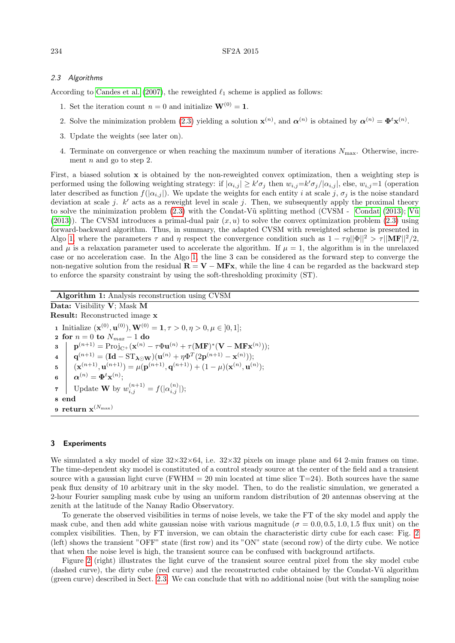## <span id="page-3-0"></span>2.3 Algorithms

According to [Candes et al.](#page-4-4) [\(2007\)](#page-4-4), the reweighted  $\ell_1$  scheme is applied as follows:

- 1. Set the iteration count  $n = 0$  and initialize  $\mathbf{W}^{(0)} = \mathbf{1}$ .
- 2. Solve the minimization problem [\(2.3\)](#page-2-2) yielding a solution  $\mathbf{x}^{(n)}$ , and  $\alpha^{(n)}$  is obtained by  $\alpha^{(n)} = \mathbf{\Phi}^t \mathbf{x}^{(n)}$ .
- 3. Update the weights (see later on).
- 4. Terminate on convergence or when reaching the maximum number of iterations  $N_{\text{max}}$ . Otherwise, increment  $n$  and go to step 2.

First, a biased solution x is obtained by the non-reweighted convex optimization, then a weighting step is performed using the following weighting strategy: if  $|\alpha_{i,j}| \geq k' \sigma_j$  then  $w_{i,j} = k' \sigma_j / |\alpha_{i,j}|$ , else,  $w_{i,j} = 1$  (operation later described as function  $f(|\alpha_{i,j}|)$ . We update the weights for each entity i at scale j,  $\sigma_j$  is the noise standard deviation at scale j.  $k'$  acts as a reweight level in scale j. Then, we subsequently apply the proximal theory to solve the minimization problem  $(2.3)$  with the [Condat](#page-4-5)-V $\tilde{u}$  splitting method (CVSM - Condat [\(2013\)](#page-4-5); V $\tilde{u}$ [\(2013\)](#page-5-10)). The CVSM introduces a primal-dual pair  $(x, u)$  to solve the convex optimization problem [\(2.3\)](#page-2-2) using forward-backward algorithm. Thus, in summary, the adapted CVSM with reweighted scheme is presented in Algo [1,](#page-3-1) where the parameters  $\tau$  and  $\eta$  respect the convergence condition such as  $1 - \tau \eta ||\Phi||^2 > \tau ||\mathbf{M} \mathbf{F}||^2/2$ , and  $\mu$  is a relaxation parameter used to accelerate the algorithm. If  $\mu = 1$ , the algorithm is in the unrelaxed case or no acceleration case. In the Algo [1,](#page-3-1) the line 3 can be considered as the forward step to converge the non-negative solution from the residual  $\mathbf{R} = \mathbf{V} - \mathbf{M} \mathbf{F} \mathbf{x}$ , while the line 4 can be regarded as the backward step to enforce the sparsity constraint by using the soft-thresholding proximity (ST).

<span id="page-3-1"></span>Algorithm 1: Analysis reconstruction using CVSM Data: Visibility V; Mask M Result: Reconstructed image x 1 Initialize  $(\mathbf{x}^{(0)}, \mathbf{u}^{(0)}), \mathbf{W}^{(0)} = 1, \tau > 0, \eta > 0, \mu \in ]0,1];$ 2 for  $n = 0$  to  $N_{max} - 1$  do  $\mathbf{p}^{(n+1)} = \text{Proj}_{\mathrm{C}^{+}}(\mathbf{x}^{(n)} - \tau\Phi\mathbf{u}^{(n)} + \tau(\mathbf{MF})^{*}(\mathbf{V} - \mathbf{MF}\mathbf{x}^{(n)}));$  $\mathbf{q}^{(n+1)} = (\mathbf{Id} - \mathrm{ST}_{\boldsymbol{\lambda} \odot \mathbf{W}})(\mathbf{u}^{(n)} + \eta \Phi^T(2\mathbf{p}^{(n+1)} - \mathbf{x}^{(n)}));$  $\mathbf{b} = \left( \mathbf{x}^{(n+1)}, \mathbf{u}^{(n+1)} \right) = \mu(\mathbf{p}^{(n+1)}, \mathbf{q}^{(n+1)}) + (1 - \mu)(\mathbf{x}^{(n)}, \mathbf{u}^{(n)})$ ;  $\mathbf{6} \quad | \quad \boldsymbol{\alpha}^{(n)} = \boldsymbol{\Phi}^t \mathbf{x}^{(n)};$ 7 Update **W** by  $w_{i,j}^{(n+1)} = f(|\alpha_{i,j}^{(n)}|);$ 8 end 9 return  $\mathbf{x}^{(N_{\max})}$ 

## 3 Experiments

We simulated a sky model of size  $32\times32\times64$ , i.e.  $32\times32$  pixels on image plane and 64 2-min frames on time. The time-dependent sky model is constituted of a control steady source at the center of the field and a transient source with a gaussian light curve (FWHM = 20 min located at time slice  $T=24$ ). Both sources have the same peak flux density of 10 arbitrary unit in the sky model. Then, to do the realistic simulation, we generated a 2-hour Fourier sampling mask cube by using an uniform random distribution of 20 antennas observing at the zenith at the latitude of the Nanay Radio Observatory.

To generate the observed visibilities in terms of noise levels, we take the FT of the sky model and apply the mask cube, and then add white gaussian noise with various magnitude ( $\sigma = 0.0, 0.5, 1.0, 1.5$  flux unit) on the complex visibilities. Then, by FT inversion, we can obtain the characteristic dirty cube for each case: Fig. [2](#page-4-6) (left) shows the transient "OFF" state (first row) and its "ON" state (second row) of the dirty cube. We notice that when the noise level is high, the transient source can be confused with background artifacts.

Figure [2](#page-4-6) (right) illustrates the light curve of the transient source central pixel from the sky model cube (dashed curve), the dirty cube (red curve) and the reconstructed cube obtained by the Condat-V˜u algorithm (green curve) described in Sect. [2.3.](#page-3-0) We can conclude that with no additional noise (but with the sampling noise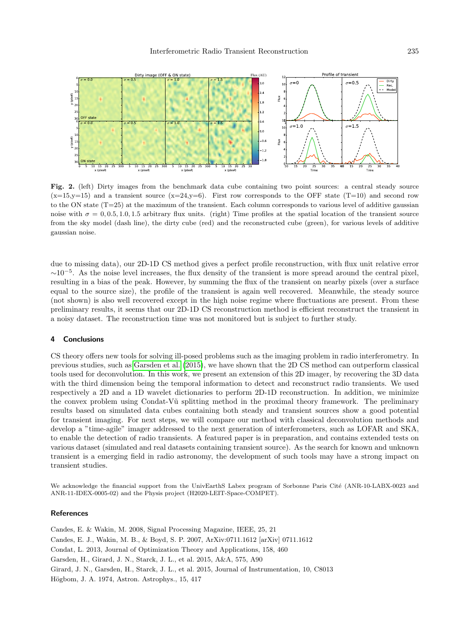

<span id="page-4-6"></span>Fig. 2. (left) Dirty images from the benchmark data cube containing two point sources: a central steady source  $(x=15,y=15)$  and a transient source  $(x=24,y=6)$ . First row corresponds to the OFF state (T=10) and second row to the ON state (T=25) at the maximum of the transient. Each column corresponds to various level of additive gaussian noise with  $\sigma = 0, 0.5, 1.0, 1.5$  arbitrary flux units. (right) Time profiles at the spatial location of the transient source from the sky model (dash line), the dirty cube (red) and the reconstructed cube (green), for various levels of additive gaussian noise.

due to missing data), our 2D-1D CS method gives a perfect profile reconstruction, with flux unit relative error  $\sim$ 10<sup>-5</sup>. As the noise level increases, the flux density of the transient is more spread around the central pixel, resulting in a bias of the peak. However, by summing the flux of the transient on nearby pixels (over a surface equal to the source size), the profile of the transient is again well recovered. Meanwhile, the steady source (not shown) is also well recovered except in the high noise regime where fluctuations are present. From these preliminary results, it seems that our 2D-1D CS reconstruction method is efficient reconstruct the transient in a noisy dataset. The reconstruction time was not monitored but is subject to further study.

### 4 Conclusions

CS theory offers new tools for solving ill-posed problems such as the imaging problem in radio interferometry. In previous studies, such as [Garsden et al.](#page-4-1) [\(2015\)](#page-4-1), we have shown that the 2D CS method can outperform classical tools used for deconvolution. In this work, we present an extension of this 2D imager, by recovering the 3D data with the third dimension being the temporal information to detect and reconstruct radio transients. We used respectively a 2D and a 1D wavelet dictionaries to perform 2D-1D reconstruction. In addition, we minimize the convex problem using Condat-V $\tilde{u}$  splitting method in the proximal theory framework. The preliminary results based on simulated data cubes containing both steady and transient sources show a good potential for transient imaging. For next steps, we will compare our method with classical deconvolution methods and develop a "time-agile" imager addressed to the next generation of interferometers, such as LOFAR and SKA, to enable the detection of radio transients. A featured paper is in preparation, and contains extended tests on various dataset (simulated and real datasets containing transient source). As the search for known and unknown transient is a emerging field in radio astronomy, the development of such tools may have a strong impact on transient studies.

We acknowledge the financial support from the UnivEarthS Labex program of Sorbonne Paris Cité (ANR-10-LABX-0023 and ANR-11-IDEX-0005-02) and the Physis project (H2020-LEIT-Space-COMPET).

#### **References**

<span id="page-4-5"></span><span id="page-4-4"></span><span id="page-4-3"></span><span id="page-4-2"></span><span id="page-4-1"></span><span id="page-4-0"></span>Candes, E. & Wakin, M. 2008, Signal Processing Magazine, IEEE, 25, 21 Candes, E. J., Wakin, M. B., & Boyd, S. P. 2007, ArXiv:0711.1612 [arXiv] 0711.1612 Condat, L. 2013, Journal of Optimization Theory and Applications, 158, 460 Garsden, H., Girard, J. N., Starck, J. L., et al. 2015, A&A, 575, A90 Girard, J. N., Garsden, H., Starck, J. L., et al. 2015, Journal of Instrumentation, 10, C8013 Högbom, J. A. 1974, Astron. Astrophys., 15, 417